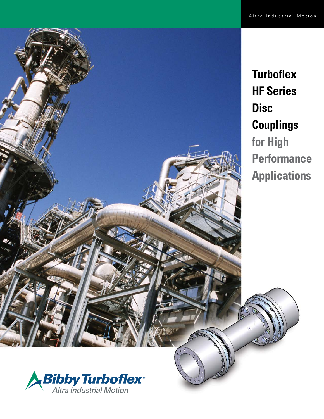

**Turboflex HF Series Disc Couplings for High Performance Applications**

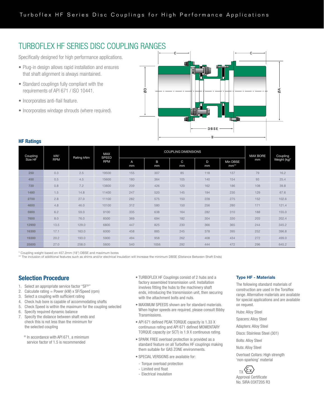# TURBOFLEX HF SERIES DISC COUPLING RANGES

Specifically designed for high performance applications.

- Plug-in design allows rapid installation and ensures that shaft alignment is always maintained.
- Standard couplings fully compliant with the requirements of API 671 / ISO 10441.
- Incorporates anti-flail feature.
- Incorporates windage shrouds (where required).



### HF Ratings

| Coupling<br>Size HF | kW/<br><b>RPM</b> | Rating kNm | MAX<br><b>SPEED</b><br><b>RPM</b> | <b>COUPLING DIMENSIONS</b> |         |         |         | <b>MAX BORE</b>    | Coupling |              |
|---------------------|-------------------|------------|-----------------------------------|----------------------------|---------|---------|---------|--------------------|----------|--------------|
|                     |                   |            |                                   | A<br>mm                    | B<br>mm | C<br>mm | D<br>mm | Min DBSE<br>$mm**$ | mm       | Weight (kg)* |
| 250                 | 0.3               | 2.5        | 19500                             | 155                        | 307     | 85      | 118     | 137                | 79       | 16.2         |
| 450                 | 0.5               | 4.5        | 15600                             | 180                        | 364     | 105     | 140     | 154                | 93       | 25.4         |
| 720                 | 0.8               | 7.2        | 13800                             | 209                        | 426     | 120     | 162     | 186                | 108      | 39.8         |
| 1480                | 1.5               | 14.8       | 11400                             | 247                        | 520     | 145     | 194     | 230                | 129      | 67.6         |
| 2700                | 2.8               | 27.0       | 11100                             | 282                        | 575     | 150     | 228     | 275                | 152      | 102.6        |
| 4600                | 4.8               | 46.0       | 10100                             | 312                        | 580     | 150     | 256     | 280                | 171      | 121.4        |
| 5900                | 6.2               | 59.0       | 9100                              | 335                        | 638     | 164     | 282     | 310                | 188      | 155.0        |
| 7600                | 8.0               | 76.0       | 8500                              | 369                        | 694     | 182     | 304     | 330                | 203      | 202.4        |
| 12900               | 13.5              | 129.0      | 6800                              | 447                        | 825     | 230     | 366     | 365                | 244      | 345.2        |
| 16300               | 17.1              | 163.0      | 6000                              | 458                        | 885     | 245     | 378     | 395                | 252      | 396.8        |
| 19300               | 20.2              | 193.0      | 5900                              | 494                        | 958     | 262     | 408     | 434                | 272      | 499.0        |
| 25800               | 27.0              | 258.0      | 5600                              | 540                        | 1056    | 292     | 444     | 472                | 296      | 645.2        |

\* Coupling weight based on 457.2mm (18") DBSE and maximum bores

\*\* The inclusion of additional features such as shims and/or electrical insulation will increase the minimum DBSE (Distance Between Shaft Ends)

# Selection Procedure

- 1. Select an appropriate service factor "SF<sup>@"</sup>
- 2. Calculate rating = Power (kW)  $x$  SF/Speed (rpm)
- 3. Select a coupling with sufficient rating
- 4. Check hub bore is capable of accommodating shafts
- 5. Check Speed is within the maximum for the coupling selected
- 6. Specify required dynamic balance
- 7. Specify the distance between shaft ends and check this is not less than the minimum for the selected coupling
	- @ In accordance with API 671, a minimum service factor of 1.5 is recommended
- TURBOFLEX HF Couplings consist of 2 hubs and a factory assembled transmission unit. Installation involves fitting the hubs to the machinery shaft ends, introducing the transmission unit, then securing with the attachment bolts and nuts.
- MAXIMUM SPEEDS shown are for standard materials. When higher speeds are required, please consult Bibby Transmissions.
- API 671 defined PEAK TORQUE capacity is 1.33 X continuous rating and API 671 defined MOMENTARY TORQUE capacity (or SCT) is 1.9 X continuous rating.
- SPARK FREE overload protection is provided as a standard feature on all Turboflex HF couplings making them suitable for GAS ZONE environments.
- SPECIAL VERSIONS are available for:
- Torque overload protection
- Limited end float
- Electrical insulation

### Type HF - Materials

The following standard materials of construction are used in the Torsiflex range. Alternative materials are available for special applications and are available on request.

Hubs: Alloy Steel

- Spacers: Alloy Steel
- Adapters: Alloy Steel
- Discs: Stainless Steel (301)
- Bolts: Alloy Steel

Nuts: Alloy Steel

Overload Collars: High strength 'non-sparking' material

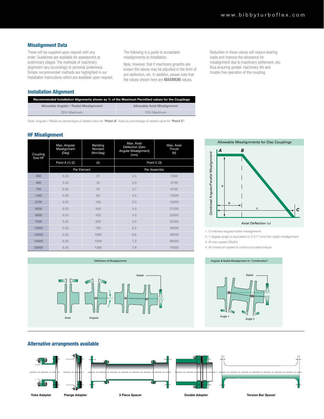# Misalignment Data

These will be supplied upon request with any order. Guidelines are available for assessment at preliminary stages. The methods of machinery alignment vary accordingly to personal preference. Simple recommended methods are highlighted in our Installation Instructions which are available upon request. The following is a guide to acceptable misalignments at installation.

Note, however, that if machinery growths are known the values may be adjusted in the form of pre-deflection, etc. In addition, please note that the values shown here are MAXIMUM values.

Reduction in these values will reduce bearing loads and improve the allowance for misalignment due to machinery settlement, etc. thus ensuring greater machinery life and trouble free operation of the coupling.

# Installation Alignment

| Recommended Installation Alignments shown as % of the Maximum Permitted values for the Couplings |                              |
|--------------------------------------------------------------------------------------------------|------------------------------|
| Allowable Angular / Radial Misalignment                                                          | Allowable Axial Misalignment |
| 20% Maximum                                                                                      | 10% Maximum                  |

*Note: Angular / Radial as percentage of stated value for 'Point A'. Axial as percentage of stated value for 'Point C'.*

## HF Misalignment

| Coupling<br>Size HF | Max. Angular<br>Misalignment<br>(Deg) | Bending<br>Moment<br>(Nm/deg) | Max. Axial<br>Deflection (Zero<br>Angular Misalignment)<br>(mm) | Max. Axial<br><b>Thrust</b><br>(N) |  |  |
|---------------------|---------------------------------------|-------------------------------|-----------------------------------------------------------------|------------------------------------|--|--|
|                     | Point A (1) (2)                       | (4)                           | Point C (3)                                                     |                                    |  |  |
|                     |                                       | Per Element                   | Per Assembly                                                    |                                    |  |  |
| 250                 | 0.33                                  | 21                            | 2.4                                                             | 2300                               |  |  |
| 450                 | 0.33                                  | 32                            | 3.0                                                             | 3700                               |  |  |
| 720                 | 0.33                                  | 52                            | 3.7                                                             | 6100                               |  |  |
| 1480                | 0.33                                  | 83                            | 4.5                                                             | 10300                              |  |  |
| 2700                | 0.33                                  | 160                           | 5.0                                                             | 15000                              |  |  |
| 4600                | 0.25                                  | 340                           | 4.0                                                             | 21500                              |  |  |
| 5900                | 0.25                                  | 420                           | 4.5                                                             | 25000                              |  |  |
| 7600                | 0.25                                  | 500                           | 5.0                                                             | 32300                              |  |  |
| 12900               | 0.25                                  | 720                           | 6.2                                                             | 38300                              |  |  |
| 16300               | 0.25                                  | 1090                          | 6.6                                                             | 48200                              |  |  |
| 19300               | 0.25                                  | 1040                          | 7.2                                                             | 68400                              |  |  |
| 25800               | 0.25                                  | 1390                          | 7.8                                                             | 70500                              |  |  |









1. Combined angular/radial misalignment

2. 1 degree angle is equivalent to 0.017 mm/mm radial misalignment

3. At zero speed (Static)